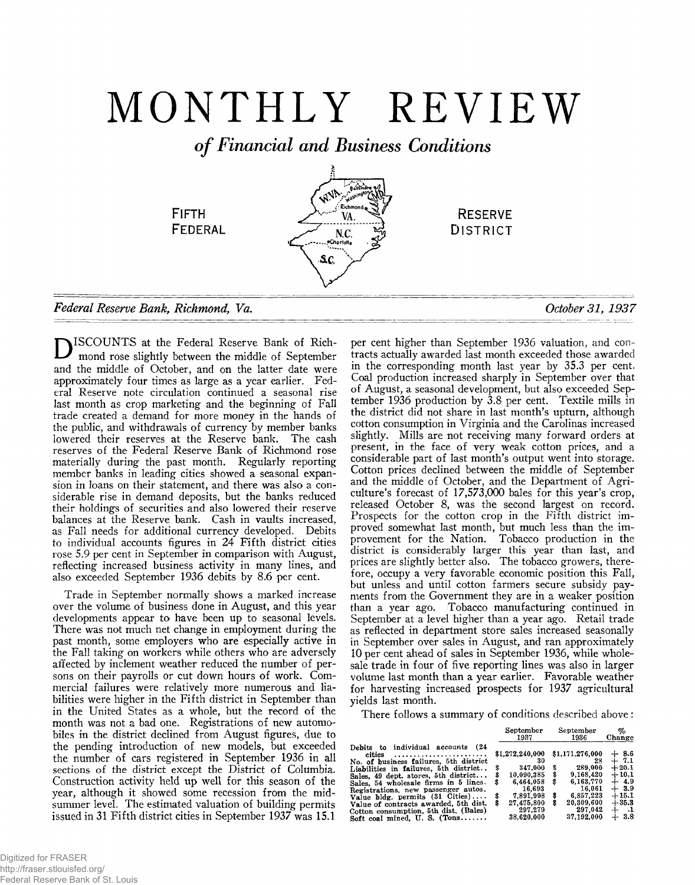# MONTHLY REVIEW

*of Financial and Business Conditions*



ISCOUNTS at the Federal Reserve Bank of Richmond rose slightly between the middle of September and the middle of October, and on the latter date were approximately four times as large as a year earlier. Federal Reserve note circulation continued a seasonal rise last month as crop marketing and the beginning of Fall trade created a demand for more money in the hands of the public, and withdrawals of currency by member banks lowered their reserves at the Reserve bank. The cash reserves of the Federal Reserve Bank of Richmond rose materially during the past month. Regularly reporting member banks in leading cities showed a seasonal expansion in loans on their statement, and there was also a considerable rise in demand deposits, but the banks reduced their holdings of securities and also lowered their reserve balances at the Reserve bank. Cash in vaults increased, as Fall needs for additional currency developed. Debits to individual accounts figures in 24 Fifth district cities rose 5.9 per cent in September in comparison with August, reflecting increased business activity in many lines, and also exceeded September 1936 debits by 8.6 per cent.

Trade in September normally shows a marked increase over the volume of business done in August, and this year developments appear to have been up to seasonal levels. There was not much net change in employment during the past month, some employers who are especially active in the Fall taking on workers while others who are adversely affected by inclement weather reduced the number of persons on their payrolls or cut down hours of work. Commercial failures were relatively more numerous and liabilities were higher in the Fifth district in September than in the United States as a whole, but the record of the month was not a bad one. Registrations of new automobiles in the district declined from August figures, due to the pending introduction of new models, but exceeded the number of cars registered in September 1936 in all sections of the district except the District of Columbia. Construction activity held up well for this season of the year, although it showed some recession from the midsummer level. The estimated valuation of building permits issued in 31 Fifth district cities in September 1937 was 15.1

per cent higher than September 1936 valuation, and contracts actually awarded last month exceeded those awarded in the corresponding month last year by 35.3 per cent. Coal production increased sharply in September over that of August, a seasonal development, but also exceeded September 1936 production by 3.8 per cent. Textile mills in the district did not share in last month's upturn, although cotton consumption in Virginia and the Carolinas increased slightly. Mills are not receiving many forward orders at present, in the face of very weak cotton prices, and a considerable part of last month's output went into storage. Cotton prices declined between the middle of September and the middle of October, and the Department of Agriculture's forecast of 17,573,000 bales for this year's crop, released October 8, was the second largest on record. Prospects for the cotton crop in the Fifth district improved somewhat last month, but much less than the improvement for the Nation. Tobacco production in the district is considerably larger this year than last, and prices are slightly better also. The tobacco growers, therefore, occupy a very favorable economic position this Fall, but unless and until cotton farmers secure subsidy payments from the Government they are in a weaker position than a year ago. Tobacco manufacturing continued in September at a level higher than a year ago. Retail trade as reflected in department store sales increased seasonally in September over sales in August, and ran approximately 10 per cent ahead of sales in September 1936, while wholesale trade in four of five reporting lines was also in larger volume last month than a year earlier. Favorable weather for harvesting increased prospects for 1937 agricultural yields last month.

There follows a summary of conditions described above:

**Debits to individual accounts (24**

**cities ............................................ No. of business failures, 5th ^ district Liabilities in failures, 5th district.. Sales, 49 dept, stores, 5th district... Sales, 54 wholesale firms in 5 lines. Registrations, new passenger autos. Value bldg. permits (31 Cities)----- Value of contracts awarded, 5th dist. Cotton consumption, 5th dist. (Bales) Soft coal mined, U. S. (Tons............**

| September<br>1937     | September<br>1936     | %<br>Change       |
|-----------------------|-----------------------|-------------------|
| \$1,272,240,000<br>30 | \$1,171,276,000<br>28 | $+8.6$<br>$+$ 7.1 |
| \$<br>347,000         | \$<br>289.000         | $+20.1$           |
| \$<br>10,090,385      | \$<br>9,168,420       | $+10.1$           |
| \$<br>6,464,058       | \$<br>6.163.770       | $+$ 4.9           |
| 16,693                | 16.061                | $+3.9$            |
| \$<br>7.891.998       | \$<br>6.857.223       | $+15.1$           |
| \$<br>27.475,800      | \$<br>20,309,600      | $+35.3$           |
| 297.279               | 297.042               | $+$ $.1$          |
| 38.620.000            | 37,192,000            | $+3.8$            |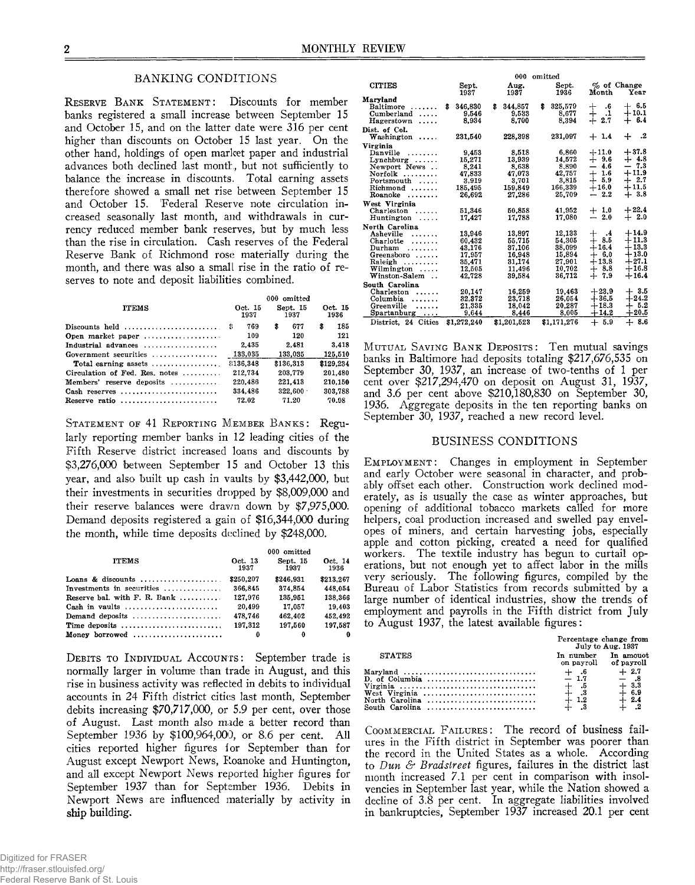# BANKING CONDITIONS

RESERVE BANK STATEMENT: Discounts for member banks registered a small increase between September 15 and October 15, and on the latter date were 316 per cent higher than discounts on October 15 last year. On the other hand, holdings of open market paper and industrial advances both declined last month, but not sufficiently to balance the increase in discounts. Total earning assets therefore showed a small net rise between September 15 and October 15. Federal Reserve note circulation increased seasonally last month, and withdrawals in currency reduced member bank reserves, but by much less than the rise in circulation. Cash reserves of the Federal Reserve Bank of Richmond rose materially during the month, and there was also a small rise in the ratio of reserves to note and deposit liabilities combined.

| <b>ITEMS</b>                                            | Oct. 15<br>1937 | 000 omitted<br>Sept. 15<br>1937 | Oct. 15<br>1936 |
|---------------------------------------------------------|-----------------|---------------------------------|-----------------|
| Discounts held $\ldots, \ldots, \ldots, \ldots, \ldots$ | 769<br>9        | \$<br>677                       | \$<br>185       |
| Open market paper                                       | 109             | 120                             | 121             |
| Industrial advances                                     | 2.435           | 2.481                           | 3.418           |
| Government securities                                   | 133.035         | 133.035                         | 125,510         |
| Total earning assets $\dots\dots\dots\dots\dots\dots$   | 8136.348        | \$136,313                       | \$129.234       |
| Circulation of Fed. Res. notes $\ldots$                 | 212.734         | 203.779                         | 201.480         |
| Members' reserve deposits                               | 220,486         | 221,413                         | 210.150         |
| Cash reserves                                           | 334.486         | 322.600                         | 303.788         |
| Reserve ratio                                           | 72.02           | 71.20                           | 70.98           |

STATEMENT OF 41 REPORTING MEMBER BANKS: Regularly reporting member banks in 12 leading cities of the Fifth Reserve district increased loans and discounts by \$3,276,000 between September 15 and October 13 this year, and also built up cash in vaults by \$3,442,000, but their investments in securities dropped by \$8,009,000 and their reserve balances were drawn down by \$7,975,000. Demand deposits registered a gain of \$16,344,000 during the month, while time deposits declined by \$248,000.

|                                                                 |                 | 000 omitted      |                 |
|-----------------------------------------------------------------|-----------------|------------------|-----------------|
| <b>ITEMS</b>                                                    | Oct. 13<br>1937 | Sept. 15<br>1937 | Oct. 14<br>1936 |
| Loans & discounts                                               | \$250.207       | \$246.931        | \$213.267       |
| Investments in securities                                       | 366,845         | 374.854          | 448.054         |
| Reserve bal. with $F$ . R. Bank                                 | 127.976         | 135,951          | 138,366         |
| Cash in vaults $\ldots, \ldots, \ldots, \ldots, \ldots, \ldots$ | 20.499          | 17.057           | 19.403          |
| Demand deposits                                                 | 478.746         | 462,402          | 452.492         |
| Time deposits                                                   | 197.312         | 197.560          | 197,587         |
| Money borrowed                                                  | 0               | $\theta$         | $\theta$        |

**DEBITS TO INDIVIDUAL ACCOUNTS:** September trade is normally larger in volume than trade in August, and this rise in business activity was reflected in debits to individual accounts in 24 Fifth district cities last month, September debits increasing \$70,717,000, or 5.9 per cent, over those of August. Last month also made a better record than September 1936 by \$100,964,000, or 8.6 per cent. All cities reported higher figures for September than for August except Newport News, Roanoke and Huntington, and all except Newport News reported higher figures for September 1937 than for September 1936. Debits in Newport News are influenced materially by activity in ship building.

|                                       |               |    | 000          | omitted |               |                          |                      |                     |
|---------------------------------------|---------------|----|--------------|---------|---------------|--------------------------|----------------------|---------------------|
| <b>CITIES</b>                         | Sept.<br>1937 |    | Aug.<br>1937 |         | Sept.<br>1936 |                          | Month                | % of Change<br>Year |
| Maryland                              |               |    |              |         |               |                          |                      |                     |
| Baltimore<br>.                        | 346,830<br>S  | S. | 344,857      | \$      | 325,579       | ┿                        | $.6\phantom{0}$      | $+ 6.5$             |
| Cumberland<br>.                       | 9.546         |    | 9.533        |         | 8.677         | ┿                        | .1                   | $+10.1$             |
| Hagerstown<br>.                       | 8,934         |    | 8.700        |         | 8,394         | $+$                      | 2.7                  | 6.4<br>┿            |
| Dist. of Col.                         |               |    |              |         |               |                          |                      |                     |
| Washington<br>                        | 231,540       |    | 228,398      |         | 231.097       |                          | $+1.4$               | .2<br>┿             |
| Virginia                              |               |    |              |         |               |                          |                      |                     |
| Danville<br>.                         | 9,453         |    | 8.518        |         | 6.860         |                          | $+11.0$              | $+37.8$             |
| $L$ ynchburg $\ldots$                 | 15,271        |    | 13,939       |         | 14.572        |                          | $+9.6$               | $+4.8$              |
| Newport News                          | 8,241         |    | 8.638        |         | 8.890         | $\overline{\phantom{0}}$ | 4.6                  | 7.3<br>—            |
| Norfolk<br>.                          | 47,833        |    | 47,073       |         | 42.757        | $^{+}$                   | -1.6                 | $+11.9$             |
| Portsmouth<br>.                       | 3,919         |    | 3.701        |         | 3.815         | ┵                        | 5.9                  | $+2.7$              |
| Richmond                              | 185,495       |    | 159,849      |         | 166,339       |                          | $+16.0$              | $+11.5$             |
| Roanoke<br>.                          | 26.692        |    | 27,286       |         | 25,709        | ---                      | - 2.2                | $+3.8$              |
| West Virginia                         |               |    |              |         |               |                          |                      |                     |
| Charleston<br>.                       | 51.346        |    | 50.858       |         | 41,952        |                          | $+1.0$               | $+22.4$             |
| Huntington<br>.                       | 17.427        |    | 17.788       |         | 17.080        | $\overline{\phantom{0}}$ | 2.0                  | $+2.0$              |
| North Carolina                        |               |    |              |         |               |                          |                      |                     |
| Asheville<br>.                        | 13.946        |    | 13.897       |         | 12,133        | $\div$                   | $\cdot$ <sup>4</sup> | $+14.9$             |
| Charlotte<br>.                        | 60.432        |    | 55,715       |         | 54.305        |                          | $+8.5$               | $+11.3$             |
| Durham<br>.                           | 43.176        |    | 37.106       |         | 38.099        |                          | $+16.4$              | $+13.3$             |
| Greensboro                            | 17.957        |    | 16,948       |         | 15,894        |                          | $+ 6.0$              | $+13.0$             |
| Raleigh<br>.                          | 35,471        |    | 31,174       |         | 27,901        |                          | $+13.8$              | $+27.1$             |
| $W$ ilmington                         | 12,505        |    | 11.496       |         | 10,702        | $\div$                   | - 8.8                | $+16.8$             |
| Winston-Salem<br>$\ddot{\phantom{a}}$ | 42.728        |    | 39.584       |         | 36.712        | $^{+}$                   | 7.9                  | $+16.4$             |
| South Carolina                        |               |    |              |         |               |                          |                      |                     |
| Charleston<br>.                       | 20.147        |    | 16.259       |         | 19.463        |                          | $+23.9$              | $+3.5$              |
| Columbia<br>.                         | 32,372        |    | 23.718       |         | 26.054        |                          | $+36.5$              | $+24.2$             |
| Greenville<br>.                       | 21.335        |    | 18.042       |         | 20.287        |                          | $+18.3$              | 5.2<br>$\div$       |
| Spartanburg<br>$\cdots$               | 9.644         |    | 8,446        |         | 8,005         |                          | $+14.2$              | $+20.5$             |
| District. 24 Cities                   | \$1,272,240   |    | \$1,201,523  |         | \$1,171,276   |                          | $+5.9$               | $+8.6$              |

**MUTUAL SAVING BANK DEPOSITS:** Ten mutual savings banks in Baltimore had deposits totaling \$217,676,535 on September 30, 1937, an increase of two-tenths of 1 per cent over \$217,294,470 on deposit on August 31, 1937, and 3.6 per cent above \$210,180,830 on September 30, 1936. Aggregate deposits in the ten reporting banks on September 30, 1937, reached a new record level.

## BUSINESS CONDITIONS

EMPLOYMENT: Changes in employment in September and early October were seasonal in character, and probably offset each other. Construction work declined moderately, as is usually the case as winter approaches, but opening of additional tobacco markets called for more helpers, coal production increased and swelled pay envelopes of miners, and certain harvesting jobs, especially apple and cotton picking, created a need for qualified workers. The textile industry has begun to curtail operations, but not enough yet to affect labor in the mills very seriously. The following figures, compiled by the Bureau of Labor Statistics from records submitted by a large number of identical industries, show the trends of employment and payrolls in the Fifth district from July to August 1937, the latest available figures:

|                                                                                                                        | Percentage change from<br>July to Aug. 1937  |                                      |  |
|------------------------------------------------------------------------------------------------------------------------|----------------------------------------------|--------------------------------------|--|
| <b>STATES</b>                                                                                                          | In number<br>on payroll of payroll           | In amouot                            |  |
| Maryland<br>D. of Columbia $\ldots, \ldots, \ldots, \ldots, \ldots, \ldots, \ldots$<br>West Virginia<br>North Carolina | $-1.7$<br>$+$ .5<br>$+$ $\sqrt{3}$<br>$+1.2$ | $+2.7$<br>$+$ 3.3<br>+ 6.9<br>$+2.4$ |  |

COOMMERCIAL FAILURES: The record of business failures in the Fifth district in September was poorer than the record in the United States as a whole. According to Dun *& Bradstreei* figures, failures in the district last month increased 7.1 per cent in comparison with insolvencies in September last year, while the Nation showed a decline of 3.8 per cent. In aggregate liabilities involved in bankruptcies, September 1937 increased 20.1 per cent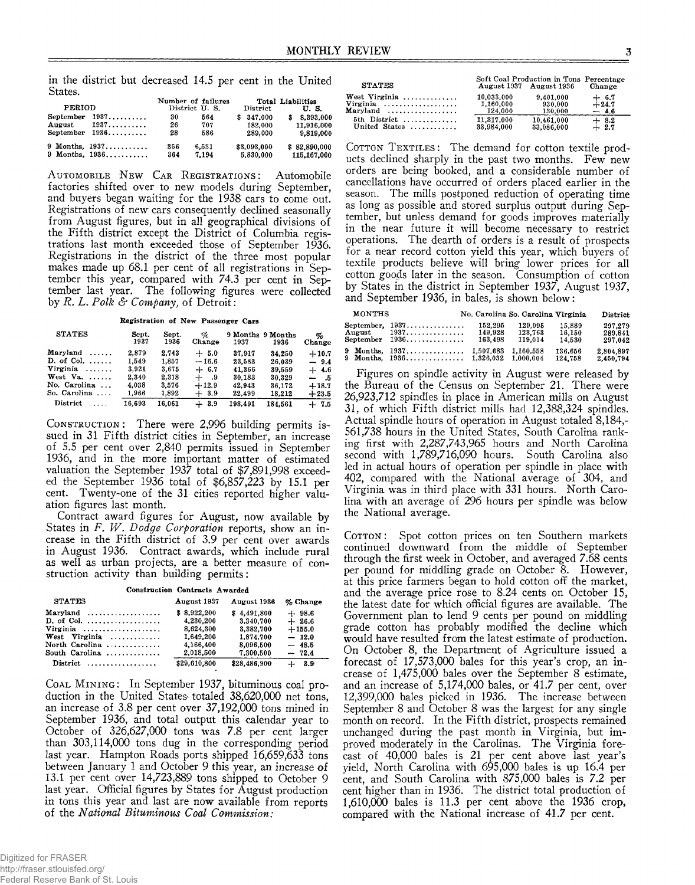in the district but decreased 14.5 per cent in the United States.

| PERIOD |                                  | Number of failures<br>District U.S. |       | District    | Total Liabilities<br>U.S. |  |
|--------|----------------------------------|-------------------------------------|-------|-------------|---------------------------|--|
|        | September $1937$                 | 30                                  | 564   | \$347.000   | 8,393,000<br>s            |  |
|        | August $1937 \ldots$             | 26                                  | 707   | 182.000     | 11,916,000                |  |
|        | September $1936$                 | 28                                  | 586   | 289.000     | 9,819,000                 |  |
|        | 9 Months, $1937, \ldots, \ldots$ | 356                                 | 6.531 | \$3,093,000 | \$82.890.000              |  |
|        | $9$ Months, $1936$               | 364                                 | 7.194 | 5,830,000   | 115,167,000               |  |

AUTOMOBILE NEW CAR REGISTRATIONS: Automobile factories shifted over to new models during September, and buyers began waiting for the 1938 cars to come out. Registrations of new cars consequently declined seasonally from August figures, but in all geographical divisions of the Fifth district except the District of Columbia registrations last month exceeded those of September 1936. Registrations in the district of the three most popular makes made up 68.1 per cent of all registrations in September this year, compared with 74.3 per cent in September last year. The following figures were collected by *R. L* . *Polk & Company,* of Detroit:

**Registration of New Passenger Cars**

| <b>STATES</b>         | Sept.<br>1937 | Sept.<br>1936 | Ho<br>Change | 1937    | 9 Months 9 Months<br>1936 | %<br>Change |
|-----------------------|---------------|---------------|--------------|---------|---------------------------|-------------|
| Maryland<br>$\ldots$  | 2.879         | 2.743         | $+5.0$       | 37.917  | 34.250                    | $+10.7$     |
| D. of Col. $\ldots$ . | 1.549         | 1,857         | $-16.6$      | 23.583  | 26.039                    | $-9.4$      |
| $Virginia$ ,,,,,,     | 3.921         | 3.675         | $+ 6.7$      | 41.366  | 39,559                    | $+4.6$      |
| West Va.              | 2.340         | 2,318         | $+$ 9        | 30,183  | 30,329                    | - 5         |
| No. Carolina          | 4,038         | 3.576         | $+12.9$      | 42.943  | 36.172                    | $+18.7$     |
| So. Carolina          | 1.966         | 1.892         | $+3.9$       | 22,499  | 18.212                    | $+23.5$     |
| District<br>1.1.1.1   | 16.693        | 16.061        | $+3.9$       | 198.491 | 184.561                   | $+7.5$      |

CONSTRUCTION: There were 2,996 building permits issued in 31 Fifth district cities in September, an increase of 5.5 per cent over 2,840 permits issued in September 1936, and in the more important matter of estimated valuation the September 1937 total of \$7,891,998 exceeded the September 1936 total of \$6,857,223 by 15.1 per cent. Twenty-one of the 31 cities reported higher valuation figures last month.

Contract award figures for August, now available by States in *F. W. Dodge Corporation* reports, show an increase in the Fifth district of 3.9 per cent over awards in August 1936. Contract awards, which include rural as well as urban projects, are a better measure of construction activity than building permits:

| <b>Construction Contracts Awarded</b>                                                                                              |                                                                 |                                                                 |                                                      |  |  |  |
|------------------------------------------------------------------------------------------------------------------------------------|-----------------------------------------------------------------|-----------------------------------------------------------------|------------------------------------------------------|--|--|--|
| <b>STATES</b>                                                                                                                      | August 1937                                                     | August 1936                                                     | % Change                                             |  |  |  |
| Maryland<br>D. of Col. $\dots\dots\dots\dots\dots\dots\dots$<br>Virginia<br>West Virginia<br>North Carolina $\ldots \ldots \ldots$ | \$8.922,200<br>4,230,200<br>8,624,300<br>1.649.200<br>4.166.400 | \$4.491.800<br>3.340.700<br>3.382.700<br>1,874,700<br>8.096.500 | $+98.6$<br>$+26.6$<br>$+155.0$<br>$-12.0$<br>$-48.5$ |  |  |  |
| South Carolina                                                                                                                     | 2,018,500                                                       | 7,300,500                                                       | $-72.4$                                              |  |  |  |
| $Distribt \dots \dots \dots \dots \dots$                                                                                           | \$29,610,800                                                    | \$28,486,900                                                    | $+3.9$                                               |  |  |  |

**COAL MINING:** In September 1937, bituminous coal production in the United States totaled 38,620,000 net tons, an increase of 3.8 per cent over 37,192,000 tons mined in September 1936, and total output this calendar year to October of 326,627,000 tons was 7.8 per cent larger than 303,114,000 tons dug in the corresponding period last year. Hampton Roads ports shipped 16,659,633 tons between January 1 and October 9 this year, an increase of 13.1 per cent over 14,723,889 tons shipped to October 9 last year. Official figures by States for August production in tons this year and last are now available from reports of the *National Bituminous Coal Commission:*

| <b>STATES</b> |            | Soft Coal Production in Tons Percentage<br>August 1937 August 1936 | Change  |
|---------------|------------|--------------------------------------------------------------------|---------|
| West Virginia | 10.033.000 | 9,401,000                                                          | $+ 6.7$ |
| Virginia      | 1,160,000  | 930.000                                                            | $+24.7$ |
| Maryland      | 124,000    | 130.000                                                            | $-4.6$  |
| 5th District  | 11.317.000 | 10,461,000                                                         | $+8.2$  |
| United States | 33,984,000 | 33,086,000                                                         | $+2.7$  |

COTTON TEXTILES: The demand for cotton textile products declined sharply in the past two months. Few new orders are being booked, and a considerable number of cancellations have occurred of orders placed earlier in the season. The mills postponed reduction of operating time as long as possible and stored surplus output during September, but unless demand for goods improves materially in the near future it will become necessary to restrict operations. The dearth of orders is a result of prospects for a near record cotton yield this year, which buyers of textile products believe will bring lower prices for all cotton goods later in the season. Consumption of cotton by States in the district in September 1937, August 1937, and September 1936, in bales, is shown below:

| MONTHS              |                                                | No. Carolina So. Carolina Virginia |                               |                            | District                      |
|---------------------|------------------------------------------------|------------------------------------|-------------------------------|----------------------------|-------------------------------|
| August<br>September | September, $1937$<br>1937.<br>1936.            | 152.295<br>149.928<br>163.498      | 129.095<br>123.763<br>119.014 | 15,889<br>16,150<br>14.530 | 297.279<br>289.841<br>297.042 |
|                     | 9 Months, 1937<br>9 Months, $1936$ $1,326,032$ | 1,507,683                          | 1,160,558<br>1,000,004        | 136,656<br>124.758         | 2.804.897<br>2.450.794        |

Figures on spindle activity in August were released by the Bureau of the Census on September 21. There were 26,923,712 spindles in place in American mills on August 31, of which Fifth district mills had 12,388,324 spindles. Actual spindle hours of operation in August totaled 8,184,- 561,738 hours in the United States, South Carolina ranking first with 2,287,743,965 hours and North Carolina second with 1,789,716,090 hours. South Carolina also led in actual hours of operation per spindle in place with 402, compared with the National average of 304, and Virginia was in third place with 331 hours. North Carolina with an average of 296 hours per spindle was below the National average.

COTTON: Spot cotton prices on ten Southern markets continued downward from the middle of September through the first week in October, and averaged 7.68 cents per pound for middling grade on October 8. However, at this price farmers began to hold cotton off the market, and the average price rose to 8.24 cents on October 15, the latest date for which official figures are available. The Government plan to lend 9 cents per pound on middling grade cotton has probably modified the decline which would have resulted from the latest estimate of production. On October 8, the Department of Agriculture issued a forecast of 17,573,000 bales for this year's crop, an increase of 1,475,000 bales over the September 8 estimate, and an increase of 5,174,000 bales, or 41.7 per cent, over 12.399.000 bales picked in 1936. The increase between September 8 and October 8 was the largest for any single month on record. In the Fifth district, prospects remained unchanged during the past month in Virginia, but improved moderately in the Carolinas. The Virginia forecast of 40,000 bales is 21 per cent above last year's yield, North Carolina with 695,000 bales is up 16.4 per cent, and South Carolina with 875,000 bales is 7.2 per cent higher than in 1936. The district total production of 1.610.000 bales is 11.3 per cent above the 1936 crop, compared with the National increase of 41.7 per cent.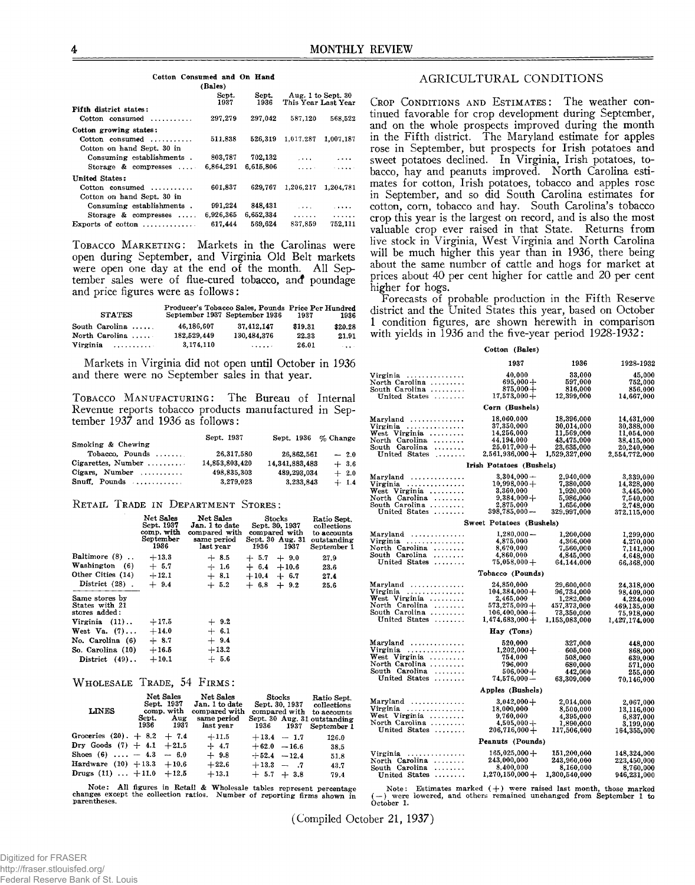|                                  | (Bales)       |               |                                 |                    |
|----------------------------------|---------------|---------------|---------------------------------|--------------------|
|                                  | Sept.<br>1937 | Sept.<br>1936 | This Year Last Year             | Aug. 1 to Sept. 30 |
| Fifth district states:           |               |               |                                 |                    |
| $Cotton$ consumed                | 297,279       | 297,042       | 587,120                         | 568.522            |
| Cotton growing states:           |               |               |                                 |                    |
| Cotton consumed                  | 511.838       | 526.319       | 1.017.287                       | 1.007.187          |
| Cotton on hand Sept. 30 in       |               |               |                                 |                    |
| Consuming establishments.        | 803.787       | 702.132       | $\cdots$                        |                    |
| Storage $\&$ compresses $\cdots$ | 6.864.291     | 6.615.806     | $\mathbf{r}$ , and $\mathbf{r}$ |                    |
| United States:                   |               |               |                                 |                    |
| $Cotton$ consumed                | 601.837       | 629.767       | 1,206,217                       | 1.204.781          |
| Cotton on hand Sept. 30 in       |               |               |                                 |                    |
| Consuming establishments.        | 991.224       | 848,431       | $\sim$ $\sim$ $\sim$            | $\cdots$           |
| Storage $\&$ compresses $\ldots$ | 6,926,365     | 6,652,334     | .                               | .                  |
| Exports of $\cot \theta$         | 617,444       | 569.624       | 837.859                         | 752.111            |

**Cotton Consumed and On Hand**

TOBACCO MARKETING: Markets in the Carolinas were open during September, and Virginia Old Belt markets were open one day at the end of the month. All September sales were of flue-cured tobacco, and poundage and price figures were as follows:

| <b>STATES</b>       |             | Producer's Tobacco Sales, Pounds Price Per Hundred<br>September 1937 September 1936 | 1937    | 1936              |
|---------------------|-------------|-------------------------------------------------------------------------------------|---------|-------------------|
| South Carolina      | 46.186.607  | 37.412.147                                                                          | \$19.31 | \$20.28           |
| North Carolina      | 182.529.449 | 130.484.376                                                                         | 22.33   | 21.91             |
| Virginia<br><b></b> | 3.174.110   | 1.1.1.1.7                                                                           | 26.01   | $\sim$ and $\sim$ |

Markets in Virginia did not open until October in 1936 and there were no September sales in that year.

TOBACCO MANUFACTURING: The Bureau of Internal Revenue reports tobacco products manufactured in September 1937 and 1936 as follows:

| Smoking & Chewing                                   | Sept. 1937     | Sept. $1936 \%$ Change |        |
|-----------------------------------------------------|----------------|------------------------|--------|
| Tobacco. Pounds $\ldots$                            | 26.317.580     | 26,862,561             | $-2.0$ |
| $Cipare ttes. \; Number \; \ldots \ldots \; \ldots$ | 14,853,803,420 | 14,341,883,483         | $+3.6$ |
| $Cigars.$ Number $\ldots \ldots \ldots$             | 498.835.303    | 489,293,034            | $+2.0$ |
| Snuff. Pounds                                       | 3,279,023      | 3,233,843              | $+1.4$ |

## **RETAIL TRADE IN DEPARTMENT STORES:**

|                                                   | Net Sales<br>Sept. 1937<br>comp. with<br>September<br>1936 | Net Sales<br>Jan. 1 to date<br>compared with<br>same period<br>last year | <b>Stocks</b><br>Sept. 30, 1937<br>compared with<br>Sept. 30 Aug. 31<br>1936<br>1937 | Ratio Sept.<br>collections<br>to accounts<br>outstanding<br>September 1 |
|---------------------------------------------------|------------------------------------------------------------|--------------------------------------------------------------------------|--------------------------------------------------------------------------------------|-------------------------------------------------------------------------|
| Baltimore (8)                                     | $+13.3$                                                    | $+8.5$                                                                   | $+ 5.7 + 9.0$                                                                        | 27.9                                                                    |
| Washington (6)                                    | $+ 5.7$                                                    | $+1.6$                                                                   | $+ 6.4 + 10.6$                                                                       | 23.6                                                                    |
| Other Cities (14)                                 | $+12.1$                                                    | $+8.1$                                                                   | $+10.4 + 6.7$                                                                        | 27.4                                                                    |
| District $(28)$ .                                 | $+9.4$                                                     | $+5.2$                                                                   | $+ 6.8 + 9.2$                                                                        | 25.6                                                                    |
| Same stores by<br>States with 21<br>stores added: |                                                            |                                                                          |                                                                                      |                                                                         |
| Virginia $(11)$                                   | $+17.5$                                                    | $+9.2$                                                                   |                                                                                      |                                                                         |
| West Va. $(7)$                                    | $+14.0$                                                    | $+ 6.1$                                                                  |                                                                                      |                                                                         |
| No. Carolina (6)                                  | $+8.7$                                                     | $+9.4$                                                                   |                                                                                      |                                                                         |
| So. Carolina (10)                                 | $+16.5$                                                    | $+13.2$                                                                  |                                                                                      |                                                                         |
| District $(49)$ .                                 | $+10.1$                                                    | $+ 5.6$                                                                  |                                                                                      |                                                                         |
|                                                   |                                                            |                                                                          |                                                                                      |                                                                         |

## $W$  **HOLESALE** TRADE, 54 **FIRMS**:

| <b>LINES</b>                   | Sept. | Net Sales<br>Sept. 1937<br>comp. with<br>Aug<br>1936 1937 | Net Sales<br>Jan. 1 to date<br>compared with<br>same period<br>last year | compared with<br>1936 1937 | $\rm{Stocks}$ | Ratio Sept.<br>Sept. 30, 1937 collections<br>to accounts<br>Sept. 30 Aug. 31 outstanding<br>September 1 |
|--------------------------------|-------|-----------------------------------------------------------|--------------------------------------------------------------------------|----------------------------|---------------|---------------------------------------------------------------------------------------------------------|
| Groceries $(20)$ . + 8.2 + 7.4 |       |                                                           | $+11.5$                                                                  | $+13.4 - 1.7$              |               | 126.0                                                                                                   |
| Dry Goods $(7) + 4.1 + 21.5$   |       |                                                           | $+4.7$                                                                   | $+62.0 -16.6$              |               | 38.5                                                                                                    |
| Shoes (6) $-4.3 - 6.0$         |       |                                                           | $+9.8$                                                                   | $+52.4 -12.4$              |               | 51.8                                                                                                    |
| Hardware $(10) + 13.3 + 10.6$  |       |                                                           | $+22.6$                                                                  | $+13.3 - .7$               |               | 43.7                                                                                                    |
| Drugs $(11)$ $+11.0$ $+12.5$   |       |                                                           | $+13.1$                                                                  | $+ 5.7 + 3.8$              |               | 79.4                                                                                                    |

**Note: All figures in Retail & Wholesale tables represent percentage changes except the collection ratios. Number of reporting firms shown in parentheses.**

# AGRICULTURAL CONDITIONS

CROP CONDITIONS AND ESTIMATES: The weather continued favorable for crop development during September, and on the whole prospects improved during the month in the Fifth district. The Maryland estimate for apples rose in September, but prospects for Irish potatoes and sweet potatoes declined. In Virginia, Irish potatoes, tobacco, hay and peanuts improved. North Carolina estimates for cotton, Irish potatoes, tobacco and apples rose in September, and so did South Carolina estimates for cotton, corn, tobacco and hay. South Carolina's tobacco crop this year is the largest on record, and is also the most valuable crop ever raised in that State. Returns from live stock in Virginia, West Virginia and North Carolina will be much higher this year than in 1936, there being about the same number of cattle and hogs for market at prices about 40 per cent higher for cattle and 20 per cent higher for hogs.

Forecasts of probable production in the Fifth Reserve district and the United States this year, based on October 1 condition figures, are shown herewith in comparison with yields in 1936 and the five-year period 1928-1932:

## **Cotton (Bales)**

|                                 | 1937                     | 1936          | 1928-1932     |  |
|---------------------------------|--------------------------|---------------|---------------|--|
| Virginia                        | 40,000                   | 33,000        | 45,000        |  |
| North Carolina                  | $695,000 +$              | 597,000       | 752,000       |  |
| South Carolina                  | $875,000+$               | 816,000       | 856.000       |  |
| United States                   | $17,573,000 +$           | 12,399,000    | 14,667,000    |  |
|                                 | Corn (Bushels)           |               |               |  |
| Maryland                        | 18,060,000               | 18,396,000    | 14,431,000    |  |
| Virginia                        | 37,350,000               | 30,014,000    | 30,388,000    |  |
| West Virginia                   | 14,256,000               | 11,569,000    | 11,054,000    |  |
| North Carolina                  | 44,194,000               | 43,475,000    | 38,415,000    |  |
| South Carolina                  | $25,017,000+$            | 23,635,000    | 20,240,000    |  |
| United States                   | $2,561,936,000 +$        | 1,529,327,000 | 2,554,772,000 |  |
|                                 | Irish Potatoes (Bushels) |               |               |  |
| Maryland                        | $3.304.000 -$            | 2,940,000     | 3,339,000     |  |
| Virginia                        | $10,998,000+$            | 7,380,000     | 14,328,000    |  |
| West Virginia<br>North Carolina | 3,360,000                | 1,920,000     | 3,445,000     |  |
|                                 | $9,384,000 +$            | 5,986,000     | 7,540,000     |  |
| South Carolina                  | 2,875,000                | 1,656,000     | 2,748,000     |  |
| United States                   | $398,785,000 -$          | 329,997,000   | 372,115,000   |  |
|                                 | Sweet Potatoes (Bushels) |               |               |  |
| Maryland                        | $1,280,000-$             | 1,200,000     | 1,299,000     |  |
| Virginia                        | 4,875,000                | 4,366,000     | 4,270,000     |  |
| North Carolina                  | 8,670,000                | 7,560,000     | 7,141,000     |  |
| South Carolina $\ldots$         | 4,860,000                | 4,845,000     | 4,648,000     |  |
| United States                   | $75,058,000+$            | 64,144,000    | 66,368,000    |  |
|                                 | Tobacco (Pounds)         |               |               |  |
| Maryland                        | 24,850,000               | 29,600,000    | 24,318,000    |  |
| Virginia                        | $104,384,000+$           | 96,734,000    | 98.409.000    |  |
| West Virginia<br>North Carolina | 2,465,000                | 1,282,000     | 4,224,000     |  |
|                                 | $573,275,000+$           | 457,373,000   | 469,135,000   |  |
| South Carolina                  | $106,400,000 +$          | 73,350,000    | 75,918,000    |  |
| United States                   | $1,474,683,000+$         | 1,153,083,000 | 1,427,174,000 |  |
|                                 | Hay (Tons)               |               |               |  |
| Maryland                        | 520,000                  | 327,000       | 448,000       |  |
| Virginia                        | $1,202,000+$             | 605,000       | 868,000       |  |
| West Virginia                   | 754,000                  | 508,000       | 639.000       |  |
| North Carolina                  | 796,000                  | 680,000       | 571,000       |  |
| South Carolina                  | $506,000+$               | 442,000       | 255,000       |  |
| United States                   | $74,576,000 -$           | 63,309,000    | 70,146,000    |  |
| Apples (Bushels)                |                          |               |               |  |
| Maryland                        | $3,042,000+$             | 2,014,000     | 2,067,000     |  |
| Virginia                        | 18,000,000               | 8,500,000     | 13,116,000    |  |
| West Virginia                   | 9,760,000                | 4.395.000     | 6,837,000     |  |
| North Carolina                  | $4,505,000 +$            | 1,890,000     | 3,199,000     |  |
| United States                   | $206,716,000+$           | 117,506,000   | 164,355,000   |  |
| Peanuts (Pounds)                |                          |               |               |  |
| Virginia                        | $165,025,000 +$          | 151,200,000   | 148,324,000   |  |
| North Carolina $\ldots$         | 243,000,000              | 243,960,000   | 223,450,000   |  |
| South Carolina                  | 8,400,000                | 8,160,000     | 8,760,000     |  |
| United States                   | $1,270,150,000+$         | 1,300,540,000 | 946,231,000   |  |

Note: Estimates marked  $(+)$  were raised last month, those marked  $(-)$  were lowered, and others remained unchanged from September 1 to **October 1.**

(Compiled October 21, 1937)